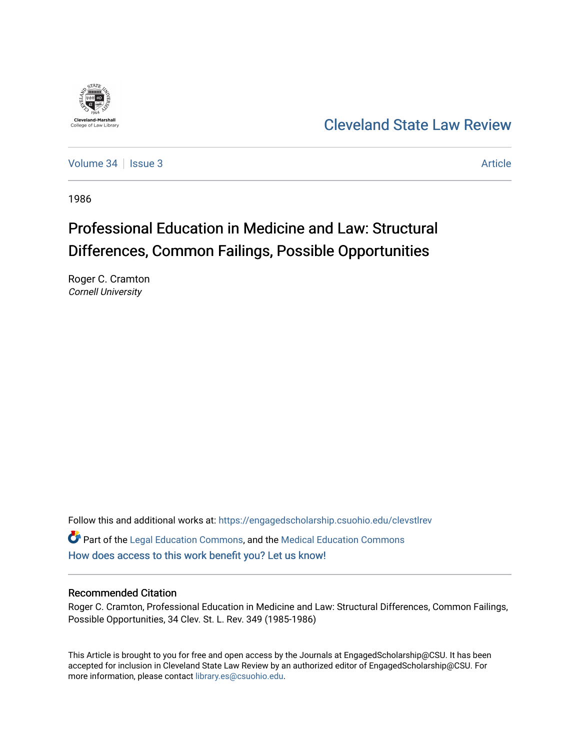

## [Cleveland State Law Review](https://engagedscholarship.csuohio.edu/clevstlrev)

[Volume 34](https://engagedscholarship.csuohio.edu/clevstlrev/vol34) | [Issue 3](https://engagedscholarship.csuohio.edu/clevstlrev/vol34/iss3) Article

1986

# Professional Education in Medicine and Law: Structural Differences, Common Failings, Possible Opportunities

Roger C. Cramton Cornell University

Follow this and additional works at: [https://engagedscholarship.csuohio.edu/clevstlrev](https://engagedscholarship.csuohio.edu/clevstlrev?utm_source=engagedscholarship.csuohio.edu%2Fclevstlrev%2Fvol34%2Fiss3%2F3&utm_medium=PDF&utm_campaign=PDFCoverPages) Part of the [Legal Education Commons,](http://network.bepress.com/hgg/discipline/857?utm_source=engagedscholarship.csuohio.edu%2Fclevstlrev%2Fvol34%2Fiss3%2F3&utm_medium=PDF&utm_campaign=PDFCoverPages) and the [Medical Education Commons](http://network.bepress.com/hgg/discipline/1125?utm_source=engagedscholarship.csuohio.edu%2Fclevstlrev%2Fvol34%2Fiss3%2F3&utm_medium=PDF&utm_campaign=PDFCoverPages) [How does access to this work benefit you? Let us know!](http://library.csuohio.edu/engaged/)

## Recommended Citation

Roger C. Cramton, Professional Education in Medicine and Law: Structural Differences, Common Failings, Possible Opportunities, 34 Clev. St. L. Rev. 349 (1985-1986)

This Article is brought to you for free and open access by the Journals at EngagedScholarship@CSU. It has been accepted for inclusion in Cleveland State Law Review by an authorized editor of EngagedScholarship@CSU. For more information, please contact [library.es@csuohio.edu](mailto:library.es@csuohio.edu).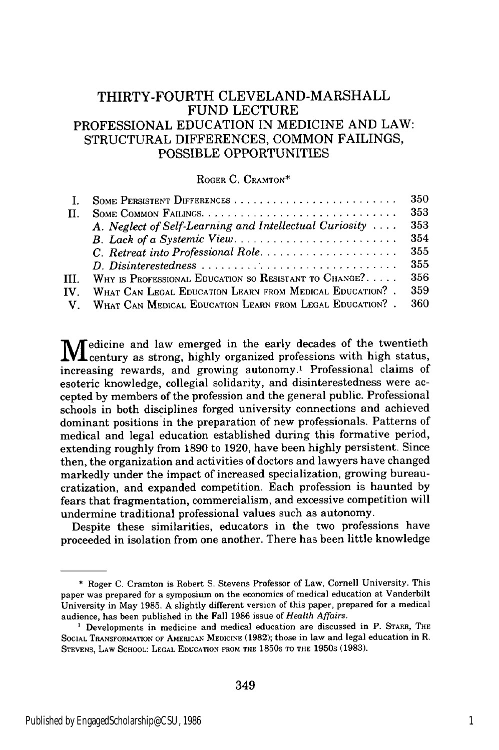## THIRTY-FOURTH **CLEVELAND-MARSHALL** FUND LECTURE PROFESSIONAL EDUCATION IN MEDICINE AND LAW: **STRUCTURAL DIFFERENCES, COMMON** FAILINGS, POSSIBLE OPPORTUNITIES

#### ROGER C. CRAMTON\*

|      |                                                            | -350 |
|------|------------------------------------------------------------|------|
| П.   |                                                            | 353  |
|      | A. Neglect of Self-Learning and Intellectual Curiosity     | 353  |
|      |                                                            | 354  |
|      |                                                            | 355  |
|      |                                                            | 355  |
| III. | WHY IS PROFESSIONAL EDUCATION SO RESISTANT TO CHANGE?      | 356  |
| IV.  | WHAT CAN LEGAL EDUCATION LEARN FROM MEDICAL EDUCATION?.    | 359  |
|      | V. WHAT CAN MEDICAL EDUCATION LEARN FROM LEGAL EDUCATION?. | 360  |

M dicine and law emerged in the early decades of the twentieth century as strong, highly organized professions with high status, increasing rewards, and growing autonomy.' Professional claims of esoteric knowledge, collegial solidarity, and disinterestedness were accepted by members of the profession and the general public. Professional schools in both disciplines forged university connections and achieved dominant positions in the preparation of new professionals. Patterns of medical and legal education established during this formative period, extending roughly from 1890 to 1920, have been highly persistent. Since then, the organization and activities of doctors and lawyers have changed markedly under the impact of increased specialization, growing bureaucratization, and expanded competition. Each profession is haunted by fears that fragmentation, commercialism, and excessive competition will undermine traditional professional values such as autonomy.

Despite these similarities, educators in the two professions have proceeded in isolation from one another. There has been little knowledge

**<sup>\*</sup>** Roger C. Cramton is Robert S. Stevens Professor of Law, Cornell University. This paper was prepared for a symposium on the economics of medical education at Vanderbilt University in May 1985. A slightly different version of this paper, prepared for a medical audience, has been published in the Fall 1986 issue *of Health Affairs.*

<sup>&</sup>lt;sup>1</sup> Developments in medicine and medical education are discussed in P. STARR, THE SOCIAL TRANSFORMATION OF AMERICAN MEDICINE (1982); those in law and legal education in R. STEVENS, LAW SCHOOL: LEGAL EDUCATION FROM THE 1850s TO THE 1950s (1983).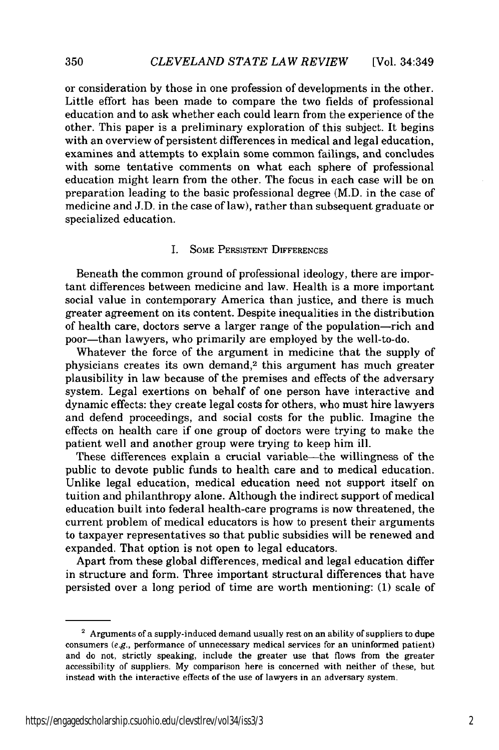or consideration by those in one profession of developments in the other. Little effort has been made to compare the two fields of professional education and to ask whether each could learn from the experience of the other. This paper is a preliminary exploration of this subject. It begins with an overview of persistent differences in medical and legal education, examines and attempts to explain some common failings, and concludes with some tentative comments on what each sphere of professional education might learn from the other. The focus in each case will be on preparation leading to the basic professional degree (M.D. in the case of medicine and J.D. in the case of law), rather than subsequent graduate or specialized education.

#### I. SOME PERSISTENT DIFFERENCES

Beneath the common ground of professional ideology, there are important differences between medicine and law. Health is a more important social value in contemporary America than justice, and there is much greater agreement on its content. Despite inequalities in the distribution of health care, doctors serve a larger range of the population-rich and poor-than lawyers, who primarily are employed by the well-to-do.

Whatever the force of the argument in medicine that the supply of physicians creates its own demand,2 this argument has much greater plausibility in law because of the premises and effects of the adversary system. Legal exertions on behalf of one person have interactive and dynamic effects: they create legal costs for others, who must hire lawyers and defend proceedings, and social costs for the public. Imagine the effects on health care if one group of doctors were trying to make the patient well and another group were trying to keep him ill.

These differences explain a crucial variable-the willingness of the public to devote public funds to health care and to medical education. Unlike legal education, medical education need not support itself on tuition and philanthropy alone. Although the indirect support of medical education built into federal health-care programs is now threatened, the current problem of medical educators is how to present their arguments to taxpayer representatives so that public subsidies will be renewed and expanded. That option is not open to legal educators.

Apart from these global differences, medical and legal education differ in structure and form. Three important structural differences that have persisted over a long period of time are worth mentioning: (1) scale of

**<sup>2</sup>** Arguments of a supply-induced demand usually rest on an ability of suppliers to dupe consumers  $(e.g.,)$  performance of unnecessary medical services for an uninformed patient) and do not, strictly speaking, include the greater use that flows from the greater accessibility of suppliers. My comparison here is concerned with neither of these, but instead with the interactive effects of the use of lawyers in an adversary system.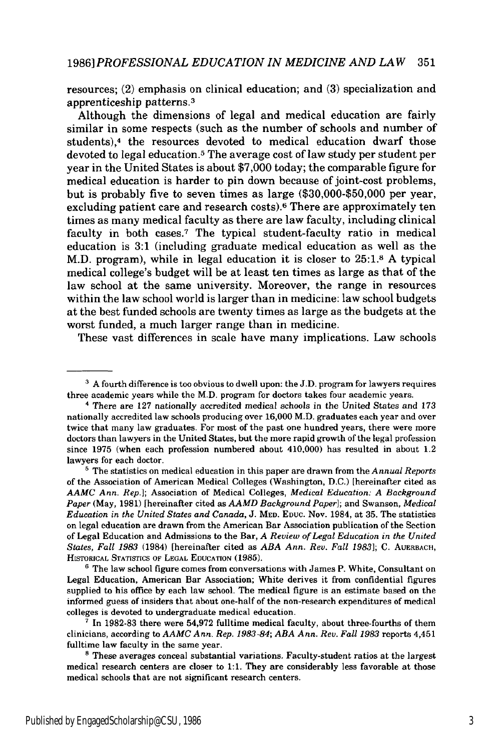resources; (2) emphasis on clinical education; and (3) specialization and apprenticeship patterns.3

Although the dimensions of legal and medical education are fairly similar in some respects (such as the number of schools and number of students),<sup>4</sup> the resources devoted to medical education dwarf those devoted to legal education.5 The average cost of law study per student per year in the United States is about \$7,000 today; the comparable figure for medical education is harder to pin down because of joint-cost problems, but is probably five to seven times as large (\$30,000-\$50,000 per year, excluding patient care and research costs).6 There are approximately ten times as many medical faculty as there are law faculty, including clinical faculty in both cases.7 The typical student-faculty ratio in medical education is 3:1 (including graduate medical education as well as the M.D. program), while in legal education it is closer to 25:1.8 A typical medical college's budget will be at least ten times as large as that of the law school at the same university. Moreover, the range in resources within the law school world is larger than in medicine: law school budgets at the best funded schools are twenty times as large as the budgets at the worst funded, a much larger range than in medicine.

These vast differences in scale have many implications. Law schools

<sup>&</sup>lt;sup>3</sup> A fourth difference is too obvious to dwell upon: the J.D. program for lawyers requires three academic years while the M.D. program for doctors takes four academic years.

**<sup>&#</sup>x27;** There are **127** nationally accredited medical schools in the United States and 173 nationally accredited law schools producing over 16,000 M.D. graduates each year and over twice that many law graduates. For most of the past one hundred years, there were more doctors than lawyers in the United States, but the more rapid growth of the legal profession since 1975 (when each profession numbered about 410,000) has resulted in about 1.2 lawyers for each doctor.

<sup>&</sup>lt;sup>5</sup> The statistics on medical education in this paper are drawn from the *Annual Reports* of the Association of American Medical Colleges (Washington, D.C.) [hereinafter cited as *AAMC Ann. Rep.];* Association of Medical Colleges, *Medical Education: A Background Paper* (May, 1981) [hereinafter cited as *AAMD Background Paper];* and Swanson, *Medical Education in the United States and Canada,* J. MED. **EDUC.** Nov. 1984, at 35. The statistics on legal education are drawn from the American Bar Association publication of the Section of Legal Education and Admissions to the Bar, *A Review of Legal Education in the United States, Fall 1983* (1984) [hereinafter cited as *ABA Ann. Rev. Fall 1983];* C. AUERBACH, HSTORICAL STATISriCS OF **LEGAL** EDUCATION **(1985).**

<sup>&</sup>lt;sup>6</sup> The law school figure comes from conversations with James P. White, Consultant on Legal Education, American Bar Association; White derives it from confidential figures supplied to his office by each law school. The medical figure is an estimate based on the informed guess of insiders that about one-half of the non-research expenditures of medical colleges is devoted to undergraduate medical education.

**<sup>&#</sup>x27;** In **1982-83** there were **54,972** fulltime medical faculty, about three-fourths of them clinicians, according to *AAMC Ann. Rep. 1983-84; ABA Ann. Rev. Fall 1983* reports 4,451 fulltime law faculty in the same year.

 $8$  These averages conceal substantial variations. Faculty-student ratios at the largest medical research centers are closer to 1:1. They are considerably less favorable at those medical schools that are not significant research centers.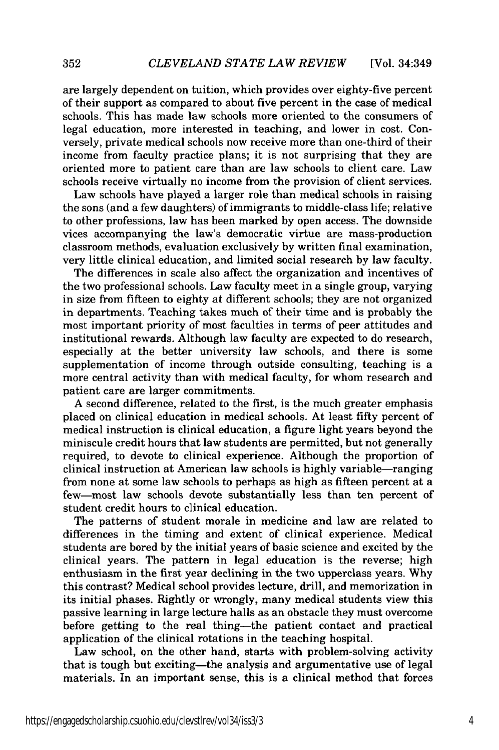are largely dependent on tuition, which provides over eighty-five percent of their support as compared to about five percent in the case of medical schools. This has made law schools more oriented to the consumers of legal education, more interested in teaching, and lower in cost. Conversely, private medical schools now receive more than one-third of their income from faculty practice plans; it is not surprising that they are oriented more to patient care than are law schools to client care. Law schools receive virtually no income from the provision of client services.

Law schools have played a larger role than medical schools in raising the sons (and a few daughters) of immigrants to middle-class life; relative to other professions, law has been marked by open access. The downside vices accompanying the law's democratic virtue are mass-production classroom methods, evaluation exclusively by written final examination, very little clinical education, and limited social research by law faculty.

The differences in scale also affect the organization and incentives of the two professional schools. Law faculty meet in a single group, varying in size from fifteen to eighty at different schools; they are not organized in departments. Teaching takes much of their time and is probably the most important priority of most faculties in terms of peer attitudes and institutional rewards. Although law faculty are expected to do research, especially at the better university law schools, and there is some supplementation of income through outside consulting, teaching is a more central activity than with medical faculty, for whom research and patient care are larger commitments.

A second difference, related to the first, is the much greater emphasis placed on clinical education in medical schools. At least fifty percent of medical instruction is clinical education, a figure light years beyond the miniscule credit hours that law students are permitted, but not generally required, to devote to clinical experience. Although the proportion of clinical instruction at American law schools is highly variable-ranging from none at some law schools to perhaps as high as fifteen percent at a few-most law schools devote substantially less than ten percent of student credit hours to clinical education.

The patterns of student morale in medicine and law are related to differences in the timing and extent of clinical experience. Medical students are bored by the initial years of basic science and excited by the clinical years. The pattern in legal education is the reverse; high enthusiasm in the first year declining in the two upperclass years. Why this contrast? Medical school provides lecture, drill, and memorization in its initial phases. Rightly or wrongly, many medical students view this passive learning in large lecture halls as an obstacle they must overcome before getting to the real thing-the patient contact and practical application of the clinical rotations in the teaching hospital.

Law school, on the other hand, starts with problem-solving activity that is tough but exciting-the analysis and argumentative use of legal materials. In an important sense, this is a clinical method that forces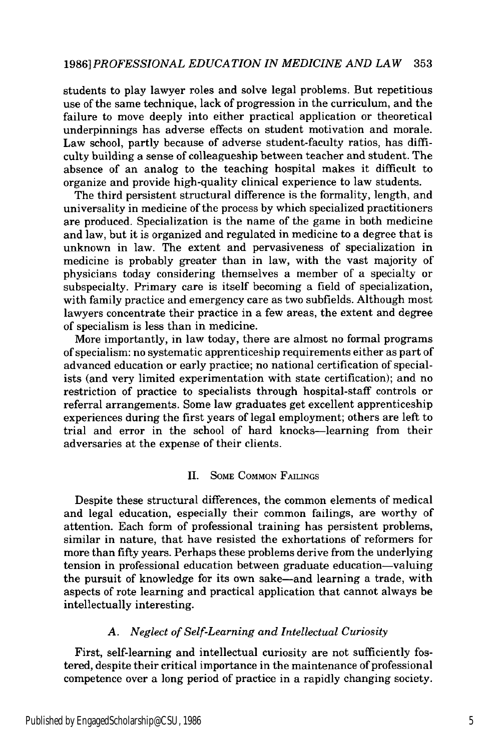### *1986] PROFESSIONAL EDUCATION IN MEDICINE AND LAW* 353

students to play lawyer roles and solve legal problems. But repetitious use of the same technique, lack of progression in the curriculum, and the failure to move deeply into either practical application or theoretical underpinnings has adverse effects on student motivation and morale. Law school, partly because of adverse student-faculty ratios, has difficulty building a sense of colleagueship between teacher and student. The absence of an analog to the teaching hospital makes it difficult to organize and provide high-quality clinical experience to law students.

The third persistent structural difference is the formality, length, and universality in medicine of the process by which specialized practitioners are produced. Specialization is the name of the game in both medicine and law, but it is organized and regulated in medicine to a degree that is unknown in law. The extent and pervasiveness of specialization in medicine is probably greater than in law, with the vast majority of physicians today considering themselves a member of a specialty or subspecialty. Primary care is itself becoming a field of specialization, with family practice and emergency care as two subfields. Although most lawyers concentrate their practice in a few areas, the extent and degree of specialism is less than in medicine.

More importantly, in law today, there are almost no formal programs of specialism: no systematic apprenticeship requirements either as part of advanced education or early practice; no national certification of specialists (and very limited experimentation with state certification); and no restriction of practice to specialists through hospital-staff controls or referral arrangements. Some law graduates get excellent apprenticeship experiences during the first years of legal employment; others are left to trial and error in the school of hard knocks-learning from their adversaries at the expense of their clients.

#### II. SOME COMMON FAILINGS

Despite these structural differences, the common elements of medical and legal education, especially their common failings, are worthy of attention. Each form of professional training has persistent problems, similar in nature, that have resisted the exhortations of reformers for more than fifty years. Perhaps these problems derive from the underlying tension in professional education between graduate education-valuing the pursuit of knowledge for its own sake-and learning a trade, with aspects of rote learning and practical application that cannot always be intellectually interesting.

#### *A. Neglect of Self-Learning and Intellectual Curiosity*

First, self-learning and intellectual curiosity are not sufficiently fostered, despite their critical importance in the maintenance of professional competence over a long period of practice in a rapidly changing society.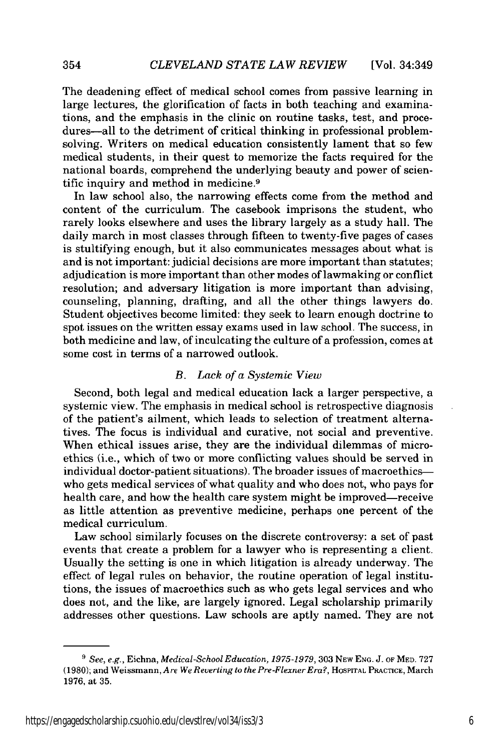The deadening effect of medical school comes from passive learning in large lectures, the glorification of facts in both teaching and examinations, and the emphasis in the clinic on routine tasks, test, and procedures—all to the detriment of critical thinking in professional problemsolving. Writers on medical education consistently lament that so few medical students, in their quest to memorize the facts required for the national boards, comprehend the underlying beauty and power of scientific inquiry and method in medicine. <sup>9</sup>

In law school also, the narrowing effects come from the method and content of the curriculum. The casebook imprisons the student, who rarely looks elsewhere and uses the library largely as a study hall. The daily march in most classes through fifteen to twenty-five pages of cases is stultifying enough, but it also communicates messages about what is and is not important: judicial decisions are more important than statutes; adjudication is more important than other modes of lawmaking or conflict resolution; and adversary litigation is more important than advising, counseling, planning, drafting, and all the other things lawyers do. Student objectives become limited: they seek to learn enough doctrine to spot issues on the written essay exams used in law school. The success, in both medicine and law, of inculcating the culture of a profession, comes at some cost in terms of a narrowed outlook.

#### *B. Lack of a Systemic View*

Second, both legal and medical education lack a larger perspective, a systemic view. The emphasis in medical school is retrospective diagnosis of the patient's ailment, which leads to selection of treatment alternatives. The focus is individual and curative, not social and preventive. When ethical issues arise, they are the individual dilemmas of microethics (i.e., which of two or more conflicting values should be served in individual doctor-patient situations). The broader issues of macroethicswho gets medical services of what quality and who does not, who pays for health care, and how the health care system might be improved-receive as little attention as preventive medicine, perhaps one percent of the medical curriculum.

Law school similarly focuses on the discrete controversy: a set of past events that create a problem for a lawyer who is representing a client. Usually the setting is one in which litigation is already underway. The effect of legal rules on behavior, the routine operation of legal institutions, the issues of macroethics such as who gets legal services and who does not, and the like, are largely ignored. Legal scholarship primarily addresses other questions. Law schools are aptly named. They are not

*<sup>&#</sup>x27; See, e.g.,* Eichna, *Medical-School Education, 1975-1979,* 303 NEw ENG. J. **OF** MED. 727 (1980); and Weissmann, *Are We Reverting to the Pre-Flexner Era?,* **HOSPITAL** PRACTICE, March 1976, at 35.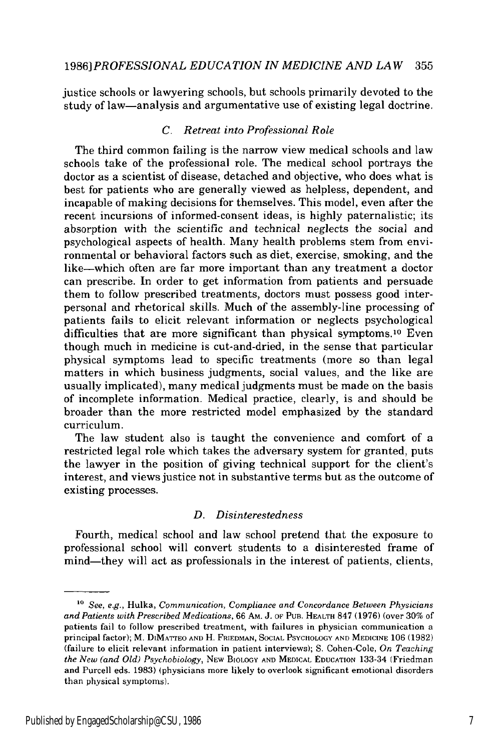justice schools or lawyering schools, but schools primarily devoted to the study of law-analysis and argumentative use of existing legal doctrine.

#### *C. Retreat into Professional Role*

The third common failing is the narrow view medical schools and law schools take of the professional role. The medical school portrays the doctor as a scientist of disease, detached and objective, who does what is best for patients who are generally viewed as helpless, dependent, and incapable of making decisions for themselves. This model, even after the recent incursions of informed-consent ideas, is highly paternalistic; its absorption with the scientific and technical neglects the social and psychological aspects of health. Many health problems stem from environmental or behavioral factors such as diet, exercise, smoking, and the like-which often are far more important than any treatment a doctor can prescribe. In order to get information from patients and persuade them to follow prescribed treatments, doctors must possess good interpersonal and rhetorical skills. Much of the assembly-line processing of patients fails to elicit relevant information or neglects psychological difficulties that are more significant than physical symptoms.<sup>10</sup> Even though much in medicine is cut-and-dried, in the sense that particular physical symptoms lead to specific treatments (more so than legal matters in which business judgments, social values, and the like are usually implicated), many medical judgments must be made on the basis of incomplete information. Medical practice, clearly, is and should be broader than the more restricted model emphasized by the standard curriculum.

The law student also is taught the convenience and comfort of a restricted legal role which takes the adversary system for granted, puts the lawyer in the position of giving technical support for the client's interest, and views justice not in substantive terms but as the outcome of existing processes.

#### *D. Disinterestedness*

Fourth, medical school and law school pretend that the exposure to professional school will convert students to a disinterested frame of mind—they will act as professionals in the interest of patients, clients,

<sup>&</sup>lt;sup>10</sup> See, e.g., Hulka, *Communication, Compliance and Concordance Between Physicians and Patients with Prescribed Medications,* 66 **AM.** J. OF **PUB.** HEALTH 847 (1976) (over 30% of patients fail to follow prescribed treatment, with failures in physician communication a principal factor); M. DIMATTEO **AND** H. FRIEDMAN, SOCIAL PSYCHOLOGY AND MEDICINE 106 (1982) (failure to elicit relevant information in patient interviews); S. Cohen-Cole, *On Teaching the New (and Old) Psychobiology,* NEw BIOLOGY **AND MEDICAL** EDUCATION 133-34 (Friedman and Purcell eds. 1983) (physicians more likely to overlook significant emotional disorders than physical symptoms).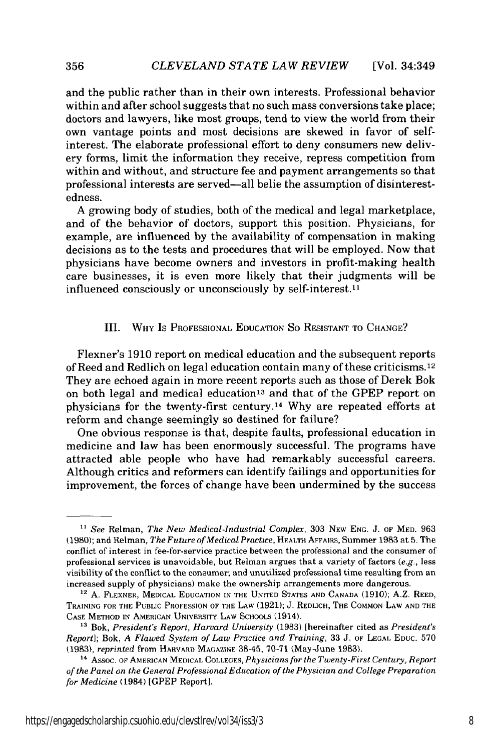and the public rather than in their own interests. Professional behavior within and after school suggests that no such mass conversions take place; doctors and lawyers, like most groups, tend to view the world from their own vantage points and most decisions are skewed in favor of selfinterest. The elaborate professional effort to deny consumers new delivery forms, limit the information they receive, repress competition from within and without, and structure fee and payment arrangements so that professional interests are served-all belie the assumption of disinterestedness.

**A** growing body of studies, both of the medical and legal marketplace, and of the behavior of doctors, support this position. Physicians, for example, are influenced by the availability of compensation in making decisions as to the tests and procedures that will be employed. Now that physicians have become owners and investors in profit-making health care businesses, it is even more likely that their judgments will be influenced consciously or unconsciously by self-interest.<sup>11</sup>

#### III. WHY IS PROFESSIONAL EDUCATION So RESISTANT TO CHANGE?

Flexner's 1910 report on medical education and the subsequent reports of Reed and Redlich on legal education contain many of these criticisms.12 They are echoed again in more recent reports such as those of Derek Bok on both legal and medical education<sup>13</sup> and that of the GPEP report on physicians for the twenty-first century.<sup>14</sup> Why are repeated efforts at reform and change seemingly so destined for failure?

One obvious response is that, despite faults, professional education in medicine and law has been enormously successful. The programs have attracted able people who have had remarkably successful careers. Although critics and reformers can identify failings and opportunities for improvement, the forces of change have been undermined by the success

356

*<sup>&</sup>quot; See* Relman, *The New Medical-Industrial Complex,* 303 NEW ENG. **J.** OF MED. 963 (1980); and Relman, *The Future ofMedical Practice,* HEALTH **AFFAIRS,** Summer 1983 at 5. The conflict of interest in fee-for-service practice between the professional and the consumer of professional services is unavoidable, but Relman argues that a variety of factors *(e.g.,* less visibility of the conflict to the consumer; and unutilized professional time resulting from an increased supply of physicians) make the ownership arrangements more dangerous.

**<sup>&</sup>quot;** A. FLEXNER, MEDICAL EDUCATION **IN** THE UNITED STATES AND CANADA (1910); A.Z. REED, TRAINING FOR THE **PUBLIC** PROFESSION OF THE LAW (1921); J. REDLICH, THE COMMON LAW AND THE CASE METHOD IN AMERICAN UNIVERSITY LAW SCHOOLS (1914).

**<sup>&</sup>quot;** Bok, *President's Report, Harvard University* (1983) [hereinafter cited as *President's Report];* Bok, *A Flawed System of Law Practice and Training,* 33 J. OF LEGAL EDUC. 570 (1983), *reprinted* from HARVARD MAGAZINE 38-45, 70-71 (May-June 1983).

**<sup>4</sup>**Assoc. OF AMERICAN MEDICAL COLLEGES, *Physicians for the Twenty-First Century, Report of the Panel on the General Professional Education of the Physician and College Preparation for Medicine* (1984) [GPEP Report].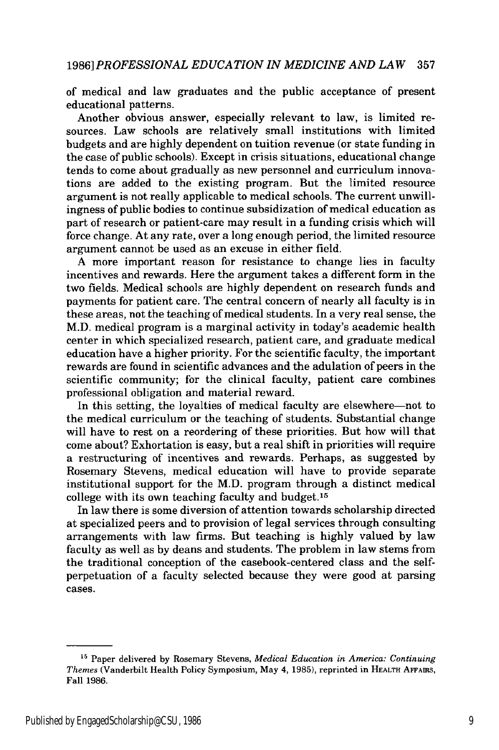of medical and law graduates and the public acceptance of present educational patterns.

Another obvious answer, especially relevant to law, is limited resources. Law schools are relatively small institutions with limited budgets and are highly dependent on tuition revenue (or state funding in the case of public schools). Except in crisis situations, educational change tends to come about gradually as new personnel and curriculum innovations are added to the existing program. But the limited resource argument is not really applicable to medical schools. The current unwillingness of public bodies to continue subsidization of medical education as part of research or patient-care may result in a funding crisis which will force change. At any rate, over a long enough period, the limited resource argument cannot be used as an excuse in either field.

A more important reason for resistance to change lies in faculty incentives and rewards. Here the argument takes a different form in the two fields. Medical schools are highly dependent on research funds and payments for patient care. The central concern of nearly all faculty is in these areas, not the teaching of medical students. In a very real sense, the M.D. medical program is a marginal activity in today's academic health center in which specialized research, patient care, and graduate medical education have a higher priority. For the scientific faculty, the important rewards are found in scientific advances and the adulation of peers in the scientific community; for the clinical faculty, patient care combines professional obligation and material reward.

In this setting, the loyalties of medical faculty are elsewhere-not to the medical curriculum or the teaching of students. Substantial change will have to rest on a reordering of these priorities. But how will that come about? Exhortation is easy, but a real shift in priorities will require a restructuring of incentives and rewards. Perhaps, as suggested by Rosemary Stevens, medical education will have to provide separate institutional support for the M.D. program through a distinct medical college with its own teaching faculty and budget.<sup>15</sup>

In law there is some diversion of attention towards scholarship directed at specialized peers and to provision of legal services through consulting arrangements with law firms. But teaching is highly valued by law faculty as well as by deans and students. The problem in law stems from the traditional conception of the casebook-centered class and the selfperpetuation of a faculty selected because they were good at parsing cases.

**<sup>15</sup>**Paper delivered by Rosemary Stevens, *Medical Education in America: Continuing Themes* (Vanderbilt Health Policy Symposium, May 4, 1985), reprinted in **HEALTH AFFAIDS,** Fall 1986.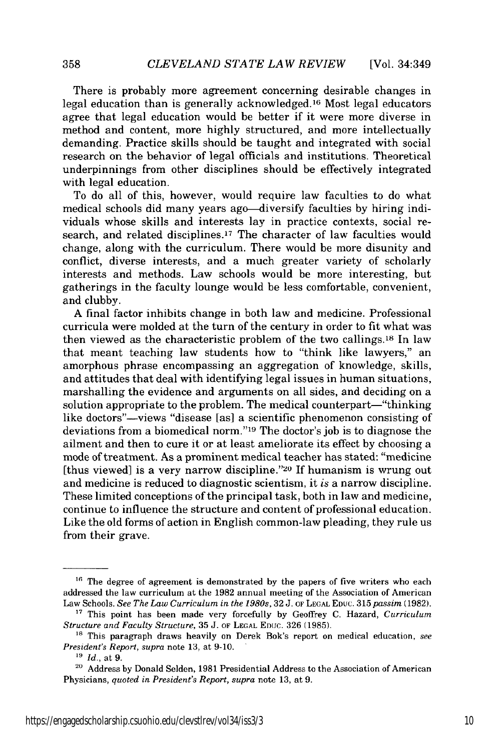There is probably more agreement concerning desirable changes in legal education than is generally acknowledged.16 Most legal educators agree that legal education would be better if it were more diverse in method and content, more highly structured, and more intellectually demanding. Practice skills should be taught and integrated with social research on the behavior of legal officials and institutions. Theoretical underpinnings from other disciplines should be effectively integrated with legal education.

To do all of this, however, would require law faculties to do what medical schools did many years ago—diversify faculties by hiring individuals whose skills and interests lay in practice contexts, social research, and related disciplines.17 The character of law faculties would change, along with the curriculum. There would be more disunity and conflict, diverse interests, and a much greater variety of scholarly interests and methods. Law schools would be more interesting, but gatherings in the faculty lounge would be less comfortable, convenient, and clubby.

A final factor inhibits change in both law and medicine. Professional curricula were molded at the turn of the century in order to fit what was then viewed as the characteristic problem of the two callings.18 In law that meant teaching law students how to "think like lawyers," an amorphous phrase encompassing an aggregation of knowledge, skills, and attitudes that deal with identifying legal issues in human situations, marshalling the evidence and arguments on all sides, and deciding on a solution appropriate to the problem. The medical counterpart—"thinking like doctors"—views "disease [as] a scientific phenomenon consisting of deviations from a biomedical norm."<sup>19</sup> The doctor's job is to diagnose the ailment and then to cure it or at least ameliorate its effect by choosing a mode of treatment. As a prominent medical teacher has stated: "medicine [thus viewed] is a very narrow discipline."20 If humanism is wrung out and medicine is reduced to diagnostic scientism, it *is* a narrow discipline. These limited conceptions of the principal task, both in law and medicine, continue to influence the structure and content of professional education. Like the old forms of action in English common-law pleading, they rule us from their grave.

<sup>&</sup>lt;sup>16</sup> The degree of agreement is demonstrated by the papers of five writers who each addressed the law curriculum at the 1982 annual meeting of the Association of American Law Schools. *See The Law Curriculum in the 1980s,* 32 J. OF **LEGAL EDUC.** 315 *passim* (1982).

**<sup>&</sup>quot;7** This point has been made very forcefully by Geoffrey C. Hazard, *Curriculum Structure and Faculty Structure, 35 J. OF LEGAL EDUC. 326 (1985).* 

**<sup>&</sup>quot;s** This paragraph draws heavily on Derek Bok's report on medical education, *see President's Report,* supra note 13, at 9-10.

*<sup>19</sup>Id.,* at 9.

**<sup>20</sup>**Address by Donald Selden, 1981 Presidential Address to the Association of American Physicians, *quoted in President's Report, supra* note 13, at 9.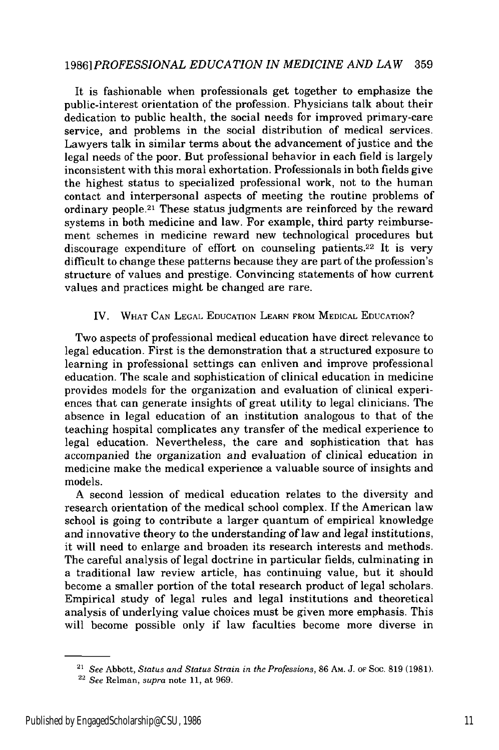## *19861 PROFESSIONAL EDUCATION IN MEDICINE AND LAW* 359

It is fashionable when professionals get together to emphasize the public-interest orientation of the profession. Physicians talk about their dedication to public health, the social needs for improved primary-care service, and problems in the social distribution of medical services. Lawyers talk in similar terms about the advancement of justice and the legal needs of the poor. But professional behavior in each field is largely inconsistent with this moral exhortation. Professionals in both fields give the highest status to specialized professional work, not to the human contact and interpersonal aspects of meeting the routine problems of ordinary people.21 These status judgments are reinforced by the reward systems in both medicine and law. For example, third party reimbursement schemes in medicine reward new technological procedures but discourage expenditure of effort on counseling patients.22 It is very difficult to change these patterns because they are part of the profession's structure of values and prestige. Convincing statements of how current values and practices might be changed are rare.

#### IV. WHAT CAN LEGAL EDUCATION LEARN FROM MEDICAL EDUCATION?

Two aspects of professional medical education have direct relevance to legal education. First is the demonstration that a structured exposure to learning in professional settings can enliven and improve professional education. The scale and sophistication of clinical education in medicine provides models for the organization and evaluation of clinical experiences that can generate insights of great utility to legal clinicians. The absence in legal education of an institution analogous to that of the teaching hospital complicates any transfer of the medical experience to legal education. Nevertheless, the care and sophistication that has accompanied the organization and evaluation of clinical education in medicine make the medical experience a valuable source of insights and models.

A second lession of medical education relates to the diversity and research orientation of the medical school complex. If the American law school is going to contribute a larger quantum of empirical knowledge and innovative theory to the understanding of law and legal institutions, it will need to enlarge and broaden its research interests and methods. The careful analysis of legal doctrine in particular fields, culminating in a traditional law review article, has continuing value, but it should become a smaller portion of the total research product of legal scholars. Empirical study of legal rules and legal institutions and theoretical analysis of underlying value choices must be given more emphasis. This will become possible only if law faculties become more diverse in

*<sup>21</sup> See* Abbott, *Status and Status Strain in the Professions,* 86 AM. J. oF Soc. 819 (1981).

**<sup>22</sup>***See* Relman, *supra* note 11, at 969.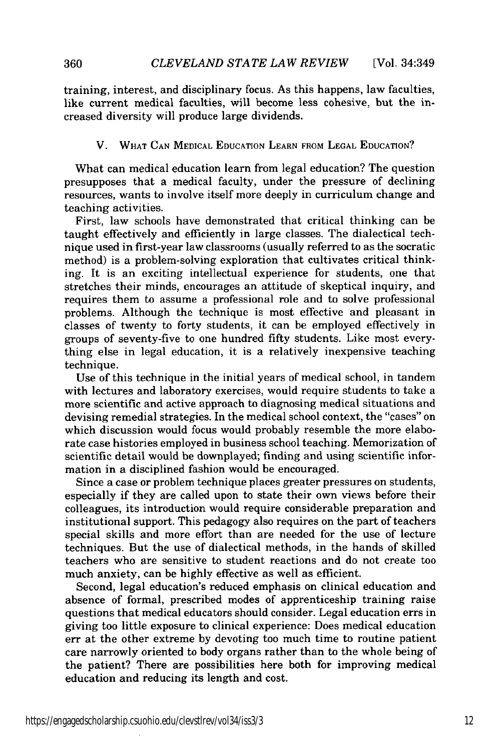training, interest, and disciplinary focus. As this happens, law faculties, like current medical faculties, will become less cohesive, but the increased diversity will produce large dividends.

#### V. WHAT **CAN MEDICAL EDUCATION LEARN** FROM **LEGAL EDUCATION?**

What can medical education learn from legal education? The question presupposes that a medical faculty, under the pressure of declining resources, wants to involve itself more deeply in curriculum change and teaching activities.

First, law schools have demonstrated that critical thinking can be taught effectively and efficiently in large classes. The dialectical technique used in first-year law classrooms (usually referred to as the socratic method) is a problem-solving exploration that cultivates critical thinking. It is an exciting intellectual experience for students, one that stretches their minds, encourages an attitude of skeptical inquiry, and requires them to assume a professional role and to solve professional problems. Although the technique is most effective and pleasant in classes of twenty to forty students, it can be employed effectively in groups of seventy-five to one hundred fifty students. Like most everything else in legal education, it is a relatively inexpensive teaching technique.

Use of this technique in the initial years of medical school, in tandem with lectures and laboratory exercises, would require students to take a more scientific and active approach to diagnosing medical situations and devising remedial strategies. In the medical school context, the "cases" on which discussion would focus would probably resemble the more elaborate case histories employed in business school teaching. Memorization of scientific detail would be downplayed; finding and using scientific information in a disciplined fashion would be encouraged.

Since a case or problem technique places greater pressures on students, especially if they are called upon to state their own views before their colleagues, its introduction would require considerable preparation and institutional support. This pedagogy also requires on the part of teachers special skills and more effort than are needed for the use of lecture techniques. But the use of dialectical methods, in the hands of skilled teachers who are sensitive to student reactions and do not create too much anxiety, can be highly effective as well as efficient.

Second, legal education's reduced emphasis on clinical education and absence of formal, prescribed modes of apprenticeship training raise questions that medical educators should consider. Legal education errs in giving too little exposure to clinical experience: Does medical education err at the other extreme by devoting too much time to routine patient care narrowly oriented to body organs rather than to the whole being of the patient? There are possibilities here both for improving medical education and reducing its length and cost.

360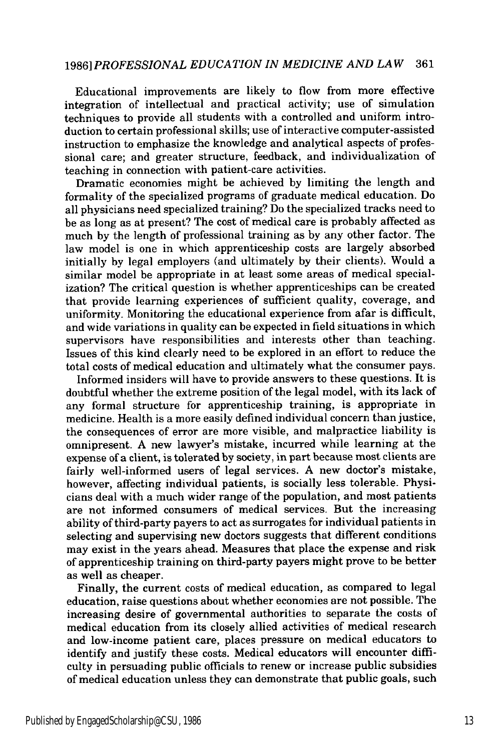## *1986] PROFESSIONAL EDUCATION IN MEDICINE AND LAW* 361

Educational improvements are likely to flow from more effective integration of intellectual and practical activity; use of simulation techniques to provide all students with a controlled and uniform introduction to certain professional skills; use of interactive computer-assisted instruction to emphasize the knowledge and analytical aspects of professional care; and greater structure, feedback, and individualization of teaching in connection with patient-care activities.

Dramatic economies might be achieved by limiting the length and formality of the specialized programs of graduate medical education. Do all physicians need specialized training? Do the specialized tracks need to be as long as at present? The cost of medical care is probably affected as much by the length of professional training as by any other factor. The law model is one in which apprenticeship costs are largely absorbed initially by legal employers (and ultimately by their clients). Would a similar model be appropriate in at least some areas of medical specialization? The critical question is whether apprenticeships can be created that provide learning experiences of sufficient quality, coverage, and uniformity. Monitoring the educational experience from afar is difficult, and wide variations in quality can be expected in field situations in which supervisors have responsibilities and interests other than teaching. Issues of this kind clearly need to be explored in an effort to reduce the total costs of medical education and ultimately what the consumer pays.

Informed insiders will have to provide answers to these questions. It is doubtful whether the extreme position of the legal model, with its lack of any formal structure for apprenticeship training, is appropriate in medicine. Health is a more easily defined individual concern than justice, the consequences of error are more visible, and malpractice liability is omnipresent. A new lawyer's mistake, incurred while learning at the expense of a client, is tolerated by society, in part because most clients are fairly well-informed users of legal services. A new doctor's mistake, however, affecting individual patients, is socially less tolerable. Physicians deal with a much wider range of the population, and most patients are not informed consumers of medical services. But the increasing ability of third-party payers to act as surrogates for individual patients in selecting and supervising new doctors suggests that different conditions may exist in the years ahead. Measures that place the expense and risk of apprenticeship training on third-party payers might prove to be better as well as cheaper.

Finally, the current costs of medical education, as compared to legal education, raise questions about whether economies are not possible. The increasing desire of governmental authorities to separate the costs of medical education from its closely allied activities of medical research and low-income patient care, places pressure on medical educators to identify and justify these costs. Medical educators will encounter difficulty in persuading public officials to renew or increase public subsidies of medical education unless they can demonstrate that public goals, such